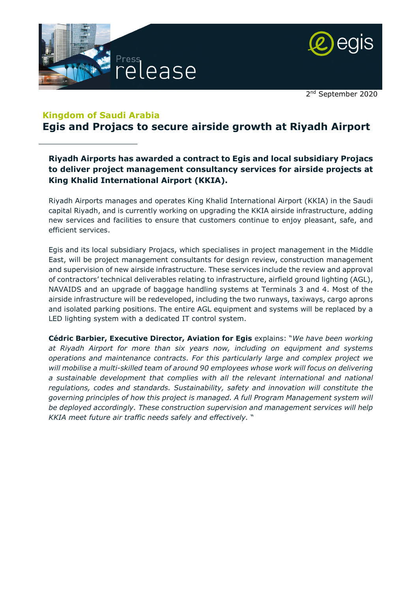



2 nd September 2020

### **Kingdom of Saudi Arabia**

## **Egis and Projacs to secure airside growth at Riyadh Airport**

**Riyadh Airports has awarded a contract to Egis and local subsidiary Projacs to deliver project management consultancy services for airside projects at King Khalid International Airport (KKIA).** 

Riyadh Airports manages and operates King Khalid International Airport (KKIA) in the Saudi capital Riyadh, and is currently working on upgrading the KKIA airside infrastructure, adding new services and facilities to ensure that customers continue to enjoy pleasant, safe, and efficient services.

Egis and its local subsidiary Projacs, which specialises in project management in the Middle East, will be project management consultants for design review, construction management and supervision of new airside infrastructure. These services include the review and approval of contractors' technical deliverables relating to infrastructure, airfield ground lighting (AGL), NAVAIDS and an upgrade of baggage handling systems at Terminals 3 and 4. Most of the airside infrastructure will be redeveloped, including the two runways, taxiways, cargo aprons and isolated parking positions. The entire AGL equipment and systems will be replaced by a LED lighting system with a dedicated IT control system.

**Cédric Barbier, Executive Director, Aviation for Egis** explains: "*We have been working at Riyadh Airport for more than six years now, including on equipment and systems operations and maintenance contracts. For this particularly large and complex project we will mobilise a multi-skilled team of around 90 employees whose work will focus on delivering a sustainable development that complies with all the relevant international and national regulations, codes and standards. Sustainability, safety and innovation will constitute the governing principles of how this project is managed. A full Program Management system will be deployed accordingly. These construction supervision and management services will help KKIA meet future air traffic needs safely and effectively.* "